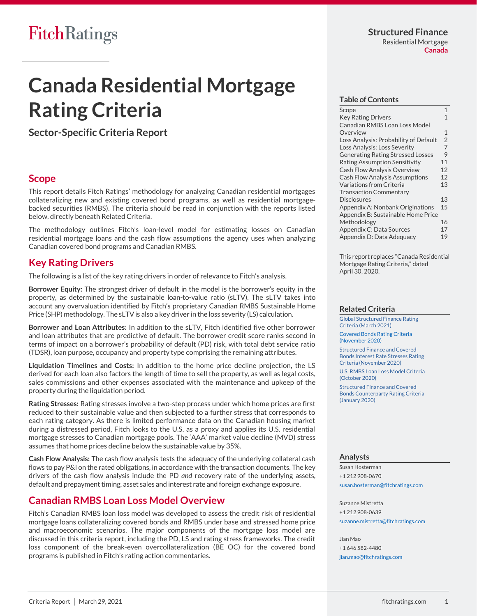# **Canada Residential Mortgage Rating Criteria**

**Sector-Specific Criteria Report**

## <span id="page-0-0"></span>**Scope**

This report details Fitch Ratings' methodology for analyzing Canadian residential mortgages collateralizing new and existing covered bond programs, as well as residential mortgagebacked securities (RMBS). The criteria should be read in conjunction with the reports listed below, directly beneath Related Criteria.

The methodology outlines Fitch's loan-level model for estimating losses on Canadian residential mortgage loans and the cash flow assumptions the agency uses when analyzing Canadian covered bond programs and Canadian RMBS.

## <span id="page-0-1"></span>**Key Rating Drivers**

The following is a list of the key rating drivers in order of relevance to Fitch's analysis.

**Borrower Equity:** The strongest driver of default in the model is the borrower's equity in the property, as determined by the sustainable loan-to-value ratio (sLTV). The sLTV takes into account any overvaluation identified by Fitch's proprietary Canadian RMBS Sustainable Home Price (SHP) methodology. The sLTV is also a key driver in the loss severity (LS) calculation.

**Borrower and Loan Attributes:** In addition to the sLTV, Fitch identified five other borrower and loan attributes that are predictive of default. The borrower credit score ranks second in terms of impact on a borrower's probability of default (PD) risk, with total debt service ratio (TDSR), loan purpose, occupancy and property type comprising the remaining attributes.

**Liquidation Timelines and Costs:** In addition to the home price decline projection, the LS derived for each loan also factors the length of time to sell the property, as well as legal costs, sales commissions and other expenses associated with the maintenance and upkeep of the property during the liquidation period.

**Rating Stresses:** Rating stresses involve a two-step process under which home prices are first reduced to their sustainable value and then subjected to a further stress that corresponds to each rating category. As there is limited performance data on the Canadian housing market during a distressed period, Fitch looks to the U.S. as a proxy and applies its U.S. residential mortgage stresses to Canadian mortgage pools. The 'AAA' market value decline (MVD) stress assumes that home prices decline below the sustainable value by 35%.

**Cash Flow Analysis:** The cash flow analysis tests the adequacy of the underlying collateral cash flows to pay P&I on the rated obligations, in accordance with the transaction documents. The key drivers of the cash flow analysis include the PD *and* recovery rate of the underlying assets, default and prepayment timing, asset sales and interest rate and foreign exchange exposure.

## <span id="page-0-2"></span>**Canadian RMBS Loan Loss Model Overview**

Fitch's Canadian RMBS loan loss model was developed to assess the credit risk of residential mortgage loans collateralizing covered bonds and RMBS under base and stressed home price and macroeconomic scenarios. The major components of the mortgage loss model are discussed in this criteria report, including the PD, LS and rating stress frameworks. The credit loss component of the break-even overcollateralization (BE OC) for the covered bond programs is published in Fitch's rating action commentaries.

### **Table of Contents**

| Scope                                    | $\mathbf{1}$   |
|------------------------------------------|----------------|
| <b>Key Rating Drivers</b>                | 1              |
| Canadian RMBS Loan Loss Model            |                |
| Overview                                 | 1              |
| Loss Analysis: Probability of Default    | $\overline{2}$ |
| Loss Analysis: Loss Severity             | $\overline{7}$ |
| <b>Generating Rating Stressed Losses</b> | 9              |
| <b>Rating Assumption Sensitivity</b>     | 11             |
| <b>Cash Flow Analysis Overview</b>       | 12             |
| <b>Cash Flow Analysis Assumptions</b>    | 12             |
| Variations from Criteria                 | 13             |
| <b>Transaction Commentary</b>            |                |
| <b>Disclosures</b>                       | 13             |
| Appendix A: Nonbank Originations         | 15             |
| Appendix B: Sustainable Home Price       |                |
| Methodology                              | 16             |
| Appendix C: Data Sources                 | 17             |
| Appendix D: Data Adequacy                | 19             |

This report replaces "Canada Residential Mortgage Rating Criteria," dated April 30, 2020.

### **Related Criteria**

[Global Structured Finance Rating](https://www.fitchratings.com/site/re/10155696)  [Criteria \(March 2021\)](https://www.fitchratings.com/site/re/10155696)

[Covered Bonds Rating Criteria](https://www.fitchratings.com/site/re/10143517)  [\(November 2020\)](https://www.fitchratings.com/site/re/10143517)

[Structured Finance and Covered](https://www.fitchratings.com/site/re/10141992)  [Bonds Interest Rate Stresses Rating](https://www.fitchratings.com/site/re/10141992)  Criteria [\(November 2020\)](https://www.fitchratings.com/site/re/10141992)

[U.S. RMBS Loan Loss Model Criteria](https://www.fitchratings.com/site/re/10137971)  [\(October 2020\)](https://www.fitchratings.com/site/re/10137971)

[Structured Finance and Covered](https://www.fitchratings.com/site/re/10108544)  [Bonds Counterparty Rating Criteria](https://www.fitchratings.com/site/re/10108544)  [\(January 2020\)](https://www.fitchratings.com/site/re/10108544)

## **Analysts**

Susan Hosterman +1 212 908-0670 [susan.hosterman@fitchratings.com](mailto:susan.hosterman@fitchratings.com)

Suzanne Mistretta +1 212 908-0639 [suzanne.mistretta@fitchratings.com](mailto:suzanne.mistretta@fitchratings.com)

Jian Mao +1 646 582-4480 [jian.mao@fitchratings.com](mailto:jian.mao@fitchratings.com)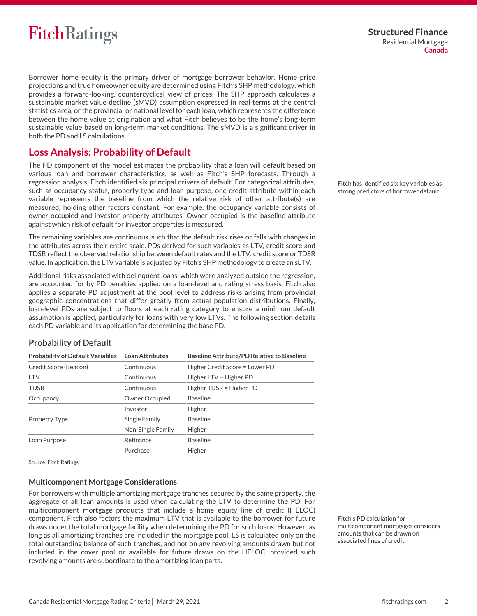Borrower home equity is the primary driver of mortgage borrower behavior. Home price projections and true homeowner equity are determined using Fitch's SHP methodology, which provides a forward-looking, countercyclical view of prices. The SHP approach calculates a sustainable market value decline (sMVD) assumption expressed in real terms at the central statistics area, or the provincial or national level for each loan, which represents the difference between the home value at origination and what Fitch believes to be the home's long-term sustainable value based on long-term market conditions. The sMVD is a significant driver in both the PD and LS calculations.

## <span id="page-1-0"></span>**Loss Analysis: Probability of Default**

The PD component of the model estimates the probability that a loan will default based on various loan and borrower characteristics, as well as Fitch's SHP forecasts. Through a regression analysis, Fitch identified six principal drivers of default. For categorical attributes, such as occupancy status, property type and loan purpose, one credit attribute within each variable represents the baseline from which the relative risk of other attribute(s) are measured, holding other factors constant. For example, the occupancy variable consists of owner-occupied and investor property attributes. Owner-occupied is the baseline attribute against which risk of default for investor properties is measured.

The remaining variables are continuous, such that the default risk rises or falls with changes in the attributes across their entire scale. PDs derived for such variables as LTV, credit score and TDSR reflect the observed relationship between default rates and the LTV, credit score or TDSR value. In application, the LTV variable is adjusted by Fitch's SHP methodology to create an sLTV.

Additional risks associated with delinquent loans, which were analyzed outside the regression, are accounted for by PD penalties applied on a loan-level and rating stress basis. Fitch also applies a separate PD adjustment at the pool level to address risks arising from provincial geographic concentrations that differ greatly from actual population distributions. Finally, loan-level PDs are subject to floors at each rating category to ensure a minimum default assumption is applied, particularly for loans with very low LTVs. The following section details each PD variable and its application for determining the base PD.

| <b>Probability of Default Variables</b> | <b>Loan Attributes</b> | <b>Baseline Attribute/PD Relative to Baseline</b> |
|-----------------------------------------|------------------------|---------------------------------------------------|
| Credit Score (Beacon)                   | Continuous             | Higher Credit Score = Lower PD                    |
| <b>LTV</b>                              | Continuous             | Higher LTV = Higher PD                            |
| <b>TDSR</b>                             | Continuous             | Higher TDSR = Higher PD                           |
| Occupancy                               | Owner Occupied         | <b>Baseline</b>                                   |
|                                         | Investor               | Higher                                            |
| Property Type                           | Single Family          | <b>Baseline</b>                                   |
|                                         | Non-Single Family      | Higher                                            |
| Loan Purpose                            | Refinance              | <b>Baseline</b>                                   |
|                                         | Purchase               | Higher                                            |
| Source: Fitch Ratings.                  |                        |                                                   |

**Probability of Default**

## **Multicomponent Mortgage Considerations**

For borrowers with multiple amortizing mortgage tranches secured by the same property, the aggregate of all loan amounts is used when calculating the LTV to determine the PD. For multicomponent mortgage products that include a home equity line of credit (HELOC) component, Fitch also factors the maximum LTV that is available to the borrower for future draws under the total mortgage facility when determining the PD for such loans. However, as long as all amortizing tranches are included in the mortgage pool, LS is calculated only on the total outstanding balance of such tranches, and not on any revolving amounts drawn but not included in the cover pool or available for future draws on the HELOC, provided such revolving amounts are subordinate to the amortizing loan parts.

Fitch has identified six key variables as strong predictors of borrower default.

Fitch's PD calculation for multicomponent mortgages considers amounts that can be drawn on associated lines of credit.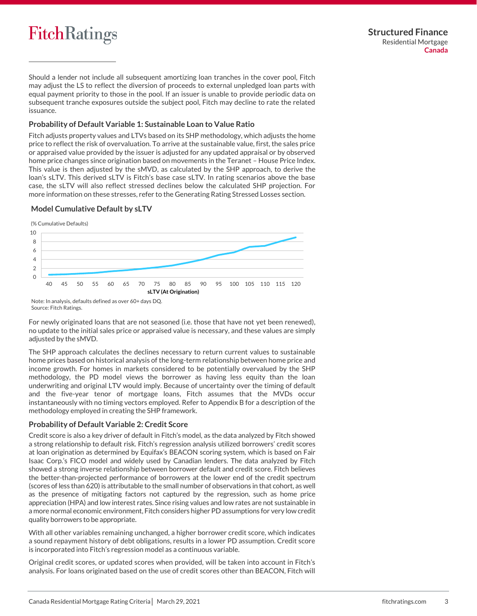Should a lender not include all subsequent amortizing loan tranches in the cover pool, Fitch may adjust the LS to reflect the diversion of proceeds to external unpledged loan parts with equal payment priority to those in the pool. If an issuer is unable to provide periodic data on subsequent tranche exposures outside the subject pool, Fitch may decline to rate the related issuance.

### **Probability of Default Variable 1: Sustainable Loan to Value Ratio**

Fitch adjusts property values and LTVs based on its SHP methodology, which adjusts the home price to reflect the risk of overvaluation. To arrive at the sustainable value, first, the sales price or appraised value provided by the issuer is adjusted for any updated appraisal or by observed home price changes since origination based on movements in the Teranet – House Price Index. This value is then adjusted by the sMVD, as calculated by the SHP approach, to derive the loan's sLTV. This derived sLTV is Fitch's base case sLTV. In rating scenarios above the base case, the sLTV will also reflect stressed declines below the calculated SHP projection. For more information on these stresses, refer to the Generating Rating Stressed Losses section.

#### **Model Cumulative Default by sLTV**

(% Cumulative Defaults)



Note: In analysis, defaults defined as over 60+ days DQ. Source: Fitch Ratings.

For newly originated loans that are not seasoned (i.e. those that have not yet been renewed), no update to the initial sales price or appraised value is necessary, and these values are simply adjusted by the sMVD.

The SHP approach calculates the declines necessary to return current values to sustainable home prices based on historical analysis of the long-term relationship between home price and income growth. For homes in markets considered to be potentially overvalued by the SHP methodology, the PD model views the borrower as having less equity than the loan underwriting and original LTV would imply. Because of uncertainty over the timing of default and the five-year tenor of mortgage loans, Fitch assumes that the MVDs occur instantaneously with no timing vectors employed. Refer to Appendix B for a description of the methodology employed in creating the SHP framework.

## **Probability of Default Variable 2: Credit Score**

Credit score is also a key driver of default in Fitch's model, as the data analyzed by Fitch showed a strong relationship to default risk. Fitch's regression analysis utilized borrowers' credit scores at loan origination as determined by Equifax's BEACON scoring system, which is based on Fair Isaac Corp.'s FICO model and widely used by Canadian lenders. The data analyzed by Fitch showed a strong inverse relationship between borrower default and credit score. Fitch believes the better-than-projected performance of borrowers at the lower end of the credit spectrum (scores of less than 620) is attributable to the small number of observations in that cohort, as well as the presence of mitigating factors not captured by the regression, such as home price appreciation (HPA) and low interest rates. Since rising values and low rates are not sustainable in a more normal economic environment, Fitch considers higher PD assumptions for very low credit quality borrowers to be appropriate.

With all other variables remaining unchanged, a higher borrower credit score, which indicates a sound repayment history of debt obligations, results in a lower PD assumption. Credit score is incorporated into Fitch's regression model as a continuous variable.

Original credit scores, or updated scores when provided, will be taken into account in Fitch's analysis. For loans originated based on the use of credit scores other than BEACON, Fitch will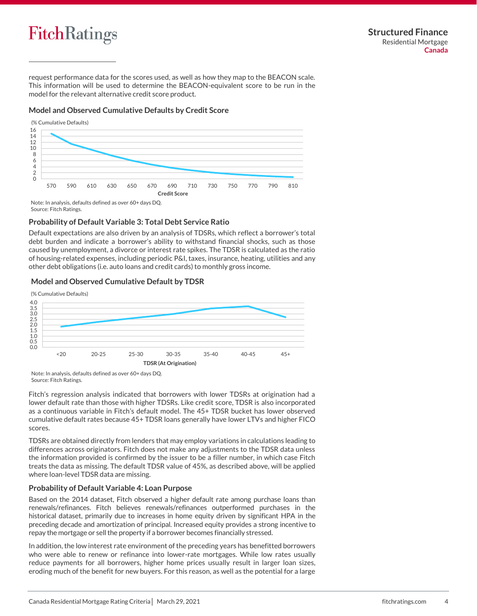

request performance data for the scores used, as well as how they map to the BEACON scale. This information will be used to determine the BEACON-equivalent score to be run in the model for the relevant alternative credit score product.

## **Model and Observed Cumulative Defaults by Credit Score**



Source: Fitch Ratings.

## **Probability of Default Variable 3: Total Debt Service Ratio**

Default expectations are also driven by an analysis of TDSRs, which reflect a borrower's total debt burden and indicate a borrower's ability to withstand financial shocks, such as those caused by unemployment, a divorce or interest rate spikes. The TDSR is calculated as the ratio of housing-related expenses, including periodic P&I, taxes, insurance, heating, utilities and any other debt obligations (i.e. auto loans and credit cards) to monthly gross income.

## **Model and Observed Cumulative Default by TDSR**



Note: In analysis, defaults defined as over 60+ days DQ. Source: Fitch Ratings.

Fitch's regression analysis indicated that borrowers with lower TDSRs at origination had a lower default rate than those with higher TDSRs. Like credit score, TDSR is also incorporated as a continuous variable in Fitch's default model. The 45+ TDSR bucket has lower observed cumulative default rates because 45+ TDSR loans generally have lower LTVs and higher FICO scores.

TDSRs are obtained directly from lenders that may employ variations in calculations leading to differences across originators. Fitch does not make any adjustments to the TDSR data unless the information provided is confirmed by the issuer to be a filler number, in which case Fitch treats the data as missing. The default TDSR value of 45%, as described above, will be applied where loan-level TDSR data are missing.

#### **Probability of Default Variable 4: Loan Purpose**

Based on the 2014 dataset, Fitch observed a higher default rate among purchase loans than renewals/refinances. Fitch believes renewals/refinances outperformed purchases in the historical dataset, primarily due to increases in home equity driven by significant HPA in the preceding decade and amortization of principal. Increased equity provides a strong incentive to repay the mortgage or sell the property if a borrower becomes financially stressed.

In addition, the low interest rate environment of the preceding years has benefitted borrowers who were able to renew or refinance into lower-rate mortgages. While low rates usually reduce payments for all borrowers, higher home prices usually result in larger loan sizes, eroding much of the benefit for new buyers. For this reason, as well as the potential for a large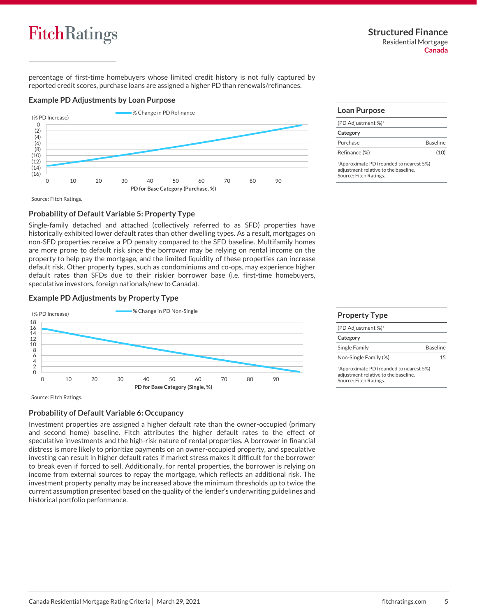

percentage of first-time homebuyers whose limited credit history is not fully captured by reported credit scores, purchase loans are assigned a higher PD than renewals/refinances.

#### **Example PD Adjustments by Loan Purpose**



Source: Fitch Ratings.

## **Probability of Default Variable 5: Property Type**

Single-family detached and attached (collectively referred to as SFD) properties have historically exhibited lower default rates than other dwelling types. As a result, mortgages on non-SFD properties receive a PD penalty compared to the SFD baseline. Multifamily homes are more prone to default risk since the borrower may be relying on rental income on the property to help pay the mortgage, and the limited liquidity of these properties can increase default risk. Other property types, such as condominiums and co-ops, may experience higher default rates than SFDs due to their riskier borrower base (i.e. first-time homebuyers, speculative investors, foreign nationals/new to Canada).

## **Example PD Adjustments by Property Type**



Source: Fitch Ratings.

## **Probability of Default Variable 6: Occupancy**

Investment properties are assigned a higher default rate than the owner-occupied (primary and second home) baseline. Fitch attributes the higher default rates to the effect of speculative investments and the high-risk nature of rental properties. A borrower in financial distress is more likely to prioritize payments on an owner-occupied property, and speculative investing can result in higher default rates if market stress makes it difficult for the borrower to break even if forced to sell. Additionally, for rental properties, the borrower is relying on income from external sources to repay the mortgage, which reflects an additional risk. The investment property penalty may be increased above the minimum thresholds up to twice the current assumption presented based on the quality of the lender's underwriting guidelines and historical portfolio performance.

## **Loan Purpose**

| (PD Adjustment %) <sup>a</sup> |                 |
|--------------------------------|-----------------|
| Category                       |                 |
| Purchase                       | <b>Baseline</b> |
| Refinance (%)                  | (10)            |
|                                |                 |

ªApproximate PD (rounded to nearest 5%) adjustment relative to the baseline. Source: Fitch Ratings.

| <b>Property Type</b>                                                                                                  |                 |
|-----------------------------------------------------------------------------------------------------------------------|-----------------|
| (PD Adjustment %) <sup>a</sup>                                                                                        |                 |
| Category                                                                                                              |                 |
| Single Family                                                                                                         | <b>Baseline</b> |
| Non-Single Family (%)                                                                                                 |                 |
| <sup>a</sup> Approximate PD (rounded to nearest 5%)<br>adjustment relative to the baseline.<br>Source: Fitch Ratings. |                 |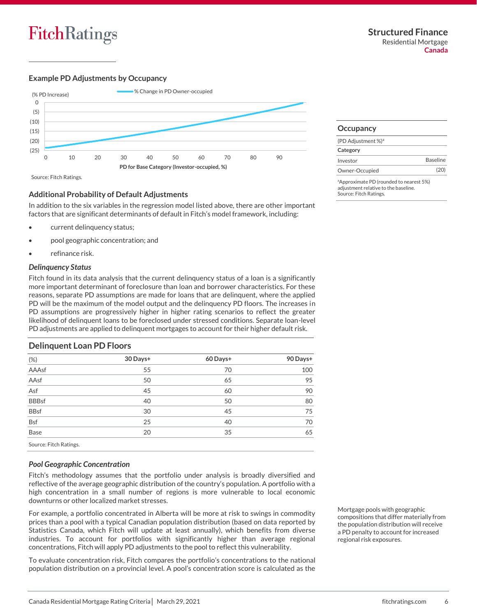## **Example PD Adjustments by Occupancy**



Source: Fitch Ratings.

## **Additional Probability of Default Adjustments**

In addition to the six variables in the regression model listed above, there are other important factors that are significant determinants of default in Fitch's model framework, including:

- current delinquency status;
- pool geographic concentration; and
- refinance risk.

#### *Delinquency Status*

Fitch found in its data analysis that the current delinquency status of a loan is a significantly more important determinant of foreclosure than loan and borrower characteristics. For these reasons, separate PD assumptions are made for loans that are delinquent, where the applied PD will be the maximum of the model output and the delinquency PD floors. The increases in PD assumptions are progressively higher in higher rating scenarios to reflect the greater likelihood of delinquent loans to be foreclosed under stressed conditions. Separate loan-level PD adjustments are applied to delinquent mortgages to account for their higher default risk.

## **Delinquent Loan PD Floors** (%) **30 Days+ 60 Days+ 90 Days+** AAAsf 55 70 100  $A$ Asf  $50$   $50$   $65$   $95$ Asf 5 60 90 BBBsf 40 50 80 BBsf 30 30 45 75 Bsf 25 40 70  $\mathsf{Base}$  and  $\mathsf{Base}$  and  $\mathsf{20}$  and  $\mathsf{35}$  and  $\mathsf{45}$ Source: Fitch Ratings.

## *Pool Geographic Concentration*

Fitch's methodology assumes that the portfolio under analysis is broadly diversified and reflective of the average geographic distribution of the country's population. A portfolio with a high concentration in a small number of regions is more vulnerable to local economic downturns or other localized market stresses.

For example, a portfolio concentrated in Alberta will be more at risk to swings in commodity prices than a pool with a typical Canadian population distribution (based on data reported by Statistics Canada, which Fitch will update at least annually), which benefits from diverse industries. To account for portfolios with significantly higher than average regional concentrations, Fitch will apply PD adjustments to the pool to reflect this vulnerability.

To evaluate concentration risk, Fitch compares the portfolio's concentrations to the national population distribution on a provincial level. A pool's concentration score is calculated as the Mortgage pools with geographic compositions that differ materially from the population distribution will receive a PD penalty to account for increased regional risk exposures.

| Occupancy                      |                 |
|--------------------------------|-----------------|
| (PD Adjustment %) <sup>a</sup> |                 |
| Category                       |                 |
| Investor                       | <b>Baseline</b> |

Owner-Occupied (20)

<sup>a</sup>Approximate PD (rounded to nearest 5%) adjustment relative to the baseline. Source: Fitch Ratings.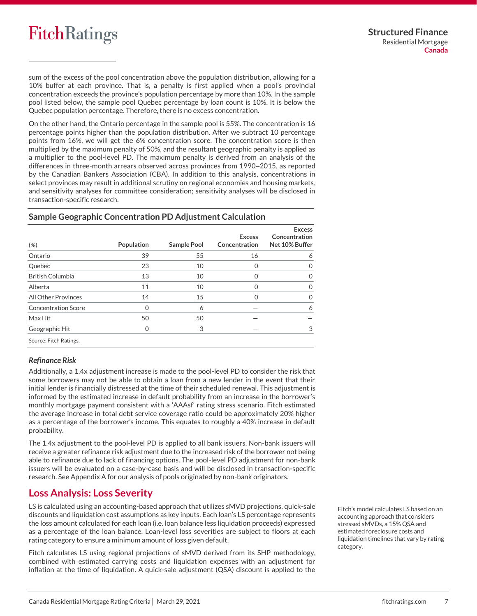sum of the excess of the pool concentration above the population distribution, allowing for a 10% buffer at each province. That is, a penalty is first applied when a pool's provincial concentration exceeds the province's population percentage by more than 10%. In the sample pool listed below, the sample pool Quebec percentage by loan count is 10%. It is below the Quebec population percentage. Therefore, there is no excess concentration.

On the other hand, the Ontario percentage in the sample pool is 55%. The concentration is 16 percentage points higher than the population distribution. After we subtract 10 percentage points from 16%, we will get the 6% concentration score. The concentration score is then multiplied by the maximum penalty of 50%, and the resultant geographic penalty is applied as a multiplier to the pool-level PD. The maximum penalty is derived from an analysis of the differences in three-month arrears observed across provinces from 1990−2015, as reported by the Canadian Bankers Association (CBA). In addition to this analysis, concentrations in select provinces may result in additional scrutiny on regional economies and housing markets, and sensitivity analyses for committee consideration; sensitivity analyses will be disclosed in transaction-specific research.

| $(\%)$                     | Population | <b>Sample Pool</b> | <b>Excess</b><br>Concentration | <b>Excess</b><br>Concentration<br>Net 10% Buffer |
|----------------------------|------------|--------------------|--------------------------------|--------------------------------------------------|
| Ontario                    | 39         | 55                 | 16                             | 6                                                |
| Quebec                     | 23         | 10                 | 0                              | $\Omega$                                         |
| <b>British Columbia</b>    | 13         | 10                 | 0                              | $\Omega$                                         |
| Alberta                    | 11         | 10                 | 0                              | $\Omega$                                         |
| <b>All Other Provinces</b> | 14         | 15                 | U                              | $\Omega$                                         |
| <b>Concentration Score</b> | Ω          | 6                  |                                | 6                                                |
| Max Hit                    | 50         | 50                 |                                |                                                  |
| Geographic Hit             | Ω          | 3                  |                                | 3                                                |
| Source: Fitch Ratings.     |            |                    |                                |                                                  |

## **Sample Geographic Concentration PD Adjustment Calculation**

## *Refinance Risk*

Additionally, a 1.4x adjustment increase is made to the pool-level PD to consider the risk that some borrowers may not be able to obtain a loan from a new lender in the event that their initial lender is financially distressed at the time of their scheduled renewal. This adjustment is informed by the estimated increase in default probability from an increase in the borrower's monthly mortgage payment consistent with a 'AAAsf' rating stress scenario. Fitch estimated the average increase in total debt service coverage ratio could be approximately 20% higher as a percentage of the borrower's income. This equates to roughly a 40% increase in default probability.

The 1.4x adjustment to the pool-level PD is applied to all bank issuers. Non-bank issuers will receive a greater refinance risk adjustment due to the increased risk of the borrower not being able to refinance due to lack of financing options. The pool-level PD adjustment for non-bank issuers will be evaluated on a case-by-case basis and will be disclosed in transaction-specific research. See Appendix A for our analysis of pools originated by non-bank originators.

## <span id="page-6-0"></span>**Loss Analysis: Loss Severity**

LS is calculated using an accounting-based approach that utilizes sMVD projections, quick-sale discounts and liquidation cost assumptions as key inputs. Each loan's LS percentage represents the loss amount calculated for each loan (i.e. loan balance less liquidation proceeds) expressed as a percentage of the loan balance. Loan-level loss severities are subject to floors at each rating category to ensure a minimum amount of loss given default.

Fitch calculates LS using regional projections of sMVD derived from its SHP methodology, combined with estimated carrying costs and liquidation expenses with an adjustment for inflation at the time of liquidation. A quick-sale adjustment (QSA) discount is applied to the

Fitch's model calculates LS based on an accounting approach that considers stressed sMVDs, a 15% QSA and estimated foreclosure costs and liquidation timelines that vary by rating category.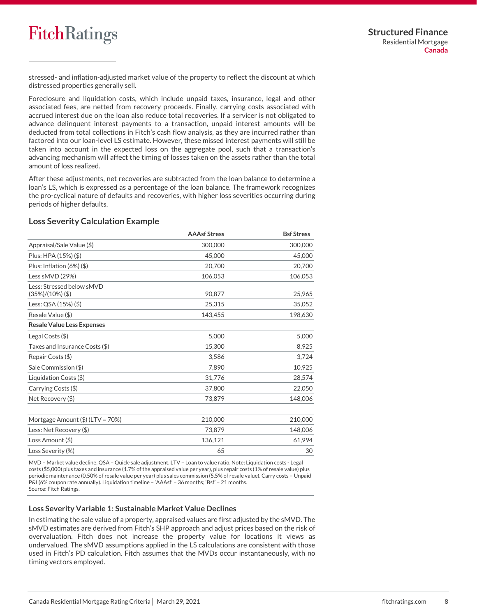

stressed- and inflation-adjusted market value of the property to reflect the discount at which distressed properties generally sell.

Foreclosure and liquidation costs, which include unpaid taxes, insurance, legal and other associated fees, are netted from recovery proceeds. Finally, carrying costs associated with accrued interest due on the loan also reduce total recoveries. If a servicer is not obligated to advance delinquent interest payments to a transaction, unpaid interest amounts will be deducted from total collections in Fitch's cash flow analysis, as they are incurred rather than factored into our loan-level LS estimate. However, these missed interest payments will still be taken into account in the expected loss on the aggregate pool, such that a transaction's advancing mechanism will affect the timing of losses taken on the assets rather than the total amount of loss realized.

After these adjustments, net recoveries are subtracted from the loan balance to determine a loan's LS, which is expressed as a percentage of the loan balance. The framework recognizes the pro-cyclical nature of defaults and recoveries, with higher loss severities occurring during periods of higher defaults.

#### **Loss Severity Calculation Example**

|                                                 | <b>AAAsf Stress</b> | <b>Bsf Stress</b> |
|-------------------------------------------------|---------------------|-------------------|
| Appraisal/Sale Value (\$)                       | 300,000             | 300,000           |
| Plus: HPA (15%) (\$)                            | 45,000              | 45,000            |
| Plus: Inflation (6%) (\$)                       | 20,700              | 20,700            |
| Less sMVD (29%)                                 | 106,053             | 106,053           |
| Less: Stressed below sMVD<br>$(35%)/(10%)$ (\$) | 90,877              | 25,965            |
| Less: QSA (15%) (\$)                            | 25,315              | 35,052            |
| Resale Value (\$)                               | 143,455             | 198,630           |
| <b>Resale Value Less Expenses</b>               |                     |                   |
| Legal Costs (\$)                                | 5,000               | 5,000             |
| Taxes and Insurance Costs (\$)                  | 15,300              | 8,925             |
| Repair Costs (\$)                               | 3,586               | 3,724             |
| Sale Commission (\$)                            | 7,890               | 10,925            |
| Liquidation Costs (\$)                          | 31,776              | 28,574            |
| Carrying Costs (\$)                             | 37,800              | 22,050            |
| Net Recovery (\$)                               | 73.879              | 148,006           |
| Mortgage Amount $(\$)$ (LTV = 70%)              | 210,000             | 210,000           |
| Less: Net Recovery (\$)                         | 73,879              | 148,006           |
| Loss Amount (\$)                                | 136,121             | 61,994            |
| Loss Severity (%)                               | 65                  | 30                |

MVD – Market value decline. QSA – Quick-sale adjustment. LTV – Loan to value ratio. Note: Liquidation costs - Legal costs (\$5,000) plus taxes and insurance (1.7% of the appraised value per year), plus repair costs (1% of resale value) plus periodic maintenance (0.50% of resale value per year) plus sales commission (5.5% of resale value). Carry costs – Unpaid P&I (6% coupon rate annually). Liquidation timeline – 'AAAsf' = 36 months; 'Bsf' = 21 months. Source: Fitch Ratings.

#### **Loss Severity Variable 1: Sustainable Market Value Declines**

In estimating the sale value of a property, appraised values are first adjusted by the sMVD. The sMVD estimates are derived from Fitch's SHP approach and adjust prices based on the risk of overvaluation. Fitch does not increase the property value for locations it views as undervalued. The sMVD assumptions applied in the LS calculations are consistent with those used in Fitch's PD calculation. Fitch assumes that the MVDs occur instantaneously, with no timing vectors employed.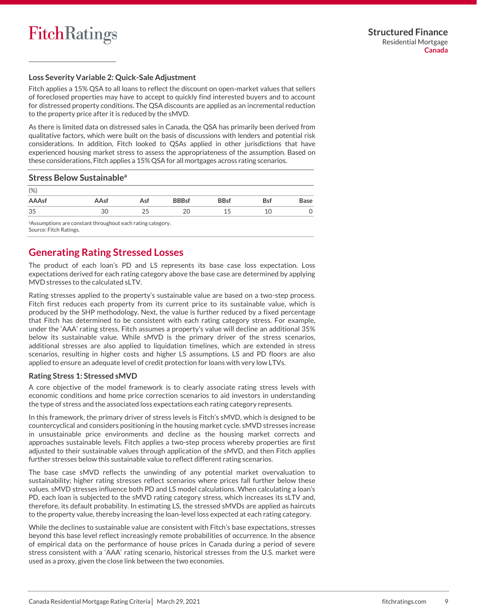### **Loss Severity Variable 2: Quick-Sale Adjustment**

Fitch applies a 15% QSA to all loans to reflect the discount on open-market values that sellers of foreclosed properties may have to accept to quickly find interested buyers and to account for distressed property conditions. The QSA discounts are applied as an incremental reduction to the property price after it is reduced by the sMVD.

As there is limited data on distressed sales in Canada, the QSA has primarily been derived from qualitative factors, which were built on the basis of discussions with lenders and potential risk considerations. In addition, Fitch looked to QSAs applied in other jurisdictions that have experienced housing market stress to assess the appropriateness of the assumption. Based on these considerations, Fitch applies a 15% QSA for all mortgages across rating scenarios.

#### **Stress Below Sustainable<sup>a</sup>**

| (%)          |      |     |              |             |            |      |
|--------------|------|-----|--------------|-------------|------------|------|
| <b>AAAsf</b> | AAsf | Asf | <b>BBBsf</b> | <b>BBsf</b> | <b>Bsf</b> | Base |
| 35           | 30   | 25  | 20           | 15          | 10         |      |

<sup>a</sup>Assumptions are constant throughout each rating category. Source: Fitch Ratings.

## <span id="page-8-0"></span>**Generating Rating Stressed Losses**

The product of each loan's PD and LS represents its base case loss expectation. Loss expectations derived for each rating category above the base case are determined by applying MVD stresses to the calculated sLTV.

Rating stresses applied to the property's sustainable value are based on a two-step process. Fitch first reduces each property from its current price to its sustainable value, which is produced by the SHP methodology. Next, the value is further reduced by a fixed percentage that Fitch has determined to be consistent with each rating category stress. For example, under the 'AAA' rating stress, Fitch assumes a property's value will decline an additional 35% below its sustainable value. While sMVD is the primary driver of the stress scenarios, additional stresses are also applied to liquidation timelines, which are extended in stress scenarios, resulting in higher costs and higher LS assumptions. LS and PD floors are also applied to ensure an adequate level of credit protection for loans with very low LTVs.

## **Rating Stress 1: Stressed sMVD**

A core objective of the model framework is to clearly associate rating stress levels with economic conditions and home price correction scenarios to aid investors in understanding the type of stress and the associated loss expectations each rating category represents.

In this framework, the primary driver of stress levels is Fitch's sMVD, which is designed to be countercyclical and considers positioning in the housing market cycle. sMVD stresses increase in unsustainable price environments and decline as the housing market corrects and approaches sustainable levels. Fitch applies a two-step process whereby properties are first adjusted to their sustainable values through application of the sMVD, and then Fitch applies further stresses below this sustainable value to reflect different rating scenarios.

The base case sMVD reflects the unwinding of any potential market overvaluation to sustainability; higher rating stresses reflect scenarios where prices fall further below these values. sMVD stresses influence both PD and LS model calculations. When calculating a loan's PD, each loan is subjected to the sMVD rating category stress, which increases its sLTV and, therefore, its default probability. In estimating LS, the stressed sMVDs are applied as haircuts to the property value, thereby increasing the loan-level loss expected at each rating category.

While the declines to sustainable value are consistent with Fitch's base expectations, stresses beyond this base level reflect increasingly remote probabilities of occurrence. In the absence of empirical data on the performance of house prices in Canada during a period of severe stress consistent with a 'AAA' rating scenario, historical stresses from the U.S. market were used as a proxy, given the close link between the two economies.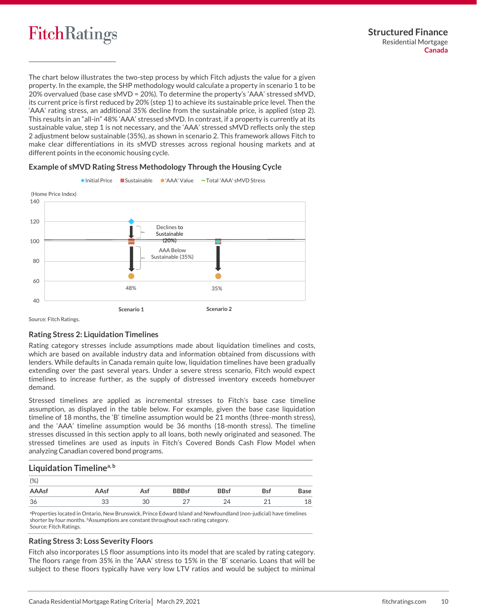

The chart below illustrates the two-step process by which Fitch adjusts the value for a given property. In the example, the SHP methodology would calculate a property in scenario 1 to be 20% overvalued (base case sMVD = 20%). To determine the property's 'AAA' stressed sMVD, its current price is first reduced by 20% (step 1) to achieve its sustainable price level. Then the 'AAA' rating stress, an additional 35% decline from the sustainable price, is applied (step 2). This results in an "all-in" 48% 'AAA' stressed sMVD. In contrast, if a property is currently at its sustainable value, step 1 is not necessary, and the 'AAA' stressed sMVD reflects only the step 2 adjustment below sustainable (35%), as shown in scenario 2. This framework allows Fitch to make clear differentiations in its sMVD stresses across regional housing markets and at different points in the economic housing cycle.

## **Example of sMVD Rating Stress Methodology Through the Housing Cycle**



Source: Fitch Ratings.

#### **Rating Stress 2: Liquidation Timelines**

Rating category stresses include assumptions made about liquidation timelines and costs, which are based on available industry data and information obtained from discussions with lenders. While defaults in Canada remain quite low, liquidation timelines have been gradually extending over the past several years. Under a severe stress scenario, Fitch would expect timelines to increase further, as the supply of distressed inventory exceeds homebuyer demand.

Stressed timelines are applied as incremental stresses to Fitch's base case timeline assumption, as displayed in the table below. For example, given the base case liquidation timeline of 18 months, the 'B' timeline assumption would be 21 months (three-month stress), and the 'AAA' timeline assumption would be 36 months (18-month stress). The timeline stresses discussed in this section apply to all loans, both newly originated and seasoned. The stressed timelines are used as inputs in Fitch's Covered Bonds Cash Flow Model when analyzing Canadian covered bond programs.

## **Liquidation Timelinea, <sup>b</sup>**

| (%)   |      |     |              |             |               |      |
|-------|------|-----|--------------|-------------|---------------|------|
| AAAsf | AAsf | Asf | <b>BBBsf</b> | <b>BBsf</b> | <b>Bsf</b>    | Base |
| 36    | 33   | 30  |              | 24          | $\mathcal{L}$ | 18   |

<sup>a</sup>Properties located in Ontario, New Brunswick, Prince Edward Island and Newfoundland (non-judicial) have timelines shorter by four months. **bAssumptions are constant throughout each rating category.** Source: Fitch Ratings.

#### **Rating Stress 3: Loss Severity Floors**

Fitch also incorporates LS floor assumptions into its model that are scaled by rating category. The floors range from 35% in the 'AAA' stress to 15% in the 'B' scenario. Loans that will be subject to these floors typically have very low LTV ratios and would be subject to minimal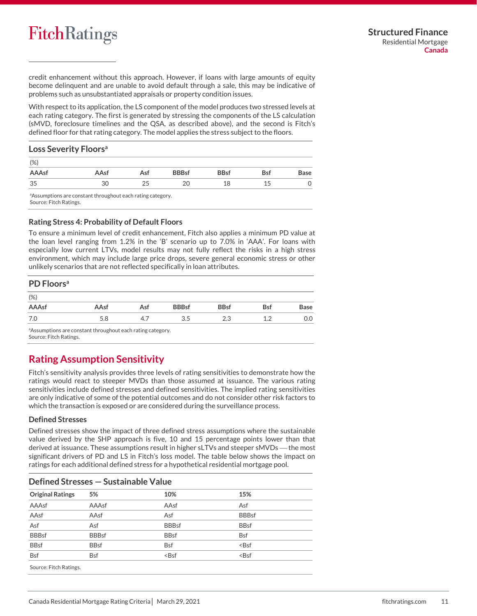credit enhancement without this approach. However, if loans with large amounts of equity become delinquent and are unable to avoid default through a sale, this may be indicative of problems such as unsubstantiated appraisals or property condition issues.

With respect to its application, the LS component of the model produces two stressed levels at each rating category. The first is generated by stressing the components of the LS calculation (sMVD, foreclosure timelines and the QSA, as described above), and the second is Fitch's defined floor for that rating category. The model applies the stress subject to the floors.

## **Loss Severity Floors<sup>a</sup>**

| $(\%)$ |      |     |              |             |            |      |
|--------|------|-----|--------------|-------------|------------|------|
| AAAsf  | AAsf | Asf | <b>BBBsf</b> | <b>BBsf</b> | <b>Bsf</b> | Base |
| 35     | 30   | 25  | 20           | 18          | 15<br>ᆠ    |      |

aAssumptions are constant throughout each rating category. Source: Fitch Ratings.

**Rating Stress 4: Probability of Default Floors** 

To ensure a minimum level of credit enhancement, Fitch also applies a minimum PD value at the loan level ranging from 1.2% in the 'B' scenario up to 7.0% in 'AAA'. For loans with especially low current LTVs, model results may not fully reflect the risks in a high stress environment, which may include large price drops, severe general economic stress or other unlikely scenarios that are not reflected specifically in loan attributes.

| PD Floors <sup>a</sup> |      |     |              |             |            |             |
|------------------------|------|-----|--------------|-------------|------------|-------------|
| $(\%)$                 |      |     |              |             |            |             |
| <b>AAAsf</b>           | AAsf | Asf | <b>BBBsf</b> | <b>BBsf</b> | <b>Bsf</b> | <b>Base</b> |
| 7.0                    | 5.8  | 4.7 | 3.5          | 2.3         | 1.2        | 0.0         |
|                        |      |     |              |             |            |             |

aAssumptions are constant throughout each rating category. Source: Fitch Ratings.

## <span id="page-10-0"></span>**Rating Assumption Sensitivity**

Fitch's sensitivity analysis provides three levels of rating sensitivities to demonstrate how the ratings would react to steeper MVDs than those assumed at issuance. The various rating sensitivities include defined stresses and defined sensitivities. The implied rating sensitivities are only indicative of some of the potential outcomes and do not consider other risk factors to which the transaction is exposed or are considered during the surveillance process.

## **Defined Stresses**

Defined stresses show the impact of three defined stress assumptions where the sustainable value derived by the SHP approach is five, 10 and 15 percentage points lower than that derived at issuance. These assumptions result in higher sLTVs and steeper sMVDs — the most significant drivers of PD and LS in Fitch's loss model. The table below shows the impact on ratings for each additional defined stress for a hypothetical residential mortgage pool.

| Defined Stresses - Sustainable Value |              |              |              |  |  |
|--------------------------------------|--------------|--------------|--------------|--|--|
| <b>Original Ratings</b>              | 5%           | 10%          | 15%          |  |  |
| AAAsf                                | AAAsf        | AAsf         | Asf          |  |  |
| AAsf                                 | AAsf         | Asf          | <b>BBBsf</b> |  |  |
| Asf                                  | Asf          | <b>BBBsf</b> | <b>BBsf</b>  |  |  |
| <b>BBBsf</b>                         | <b>BBBsf</b> | <b>BBsf</b>  | <b>Bsf</b>   |  |  |
| <b>BBsf</b>                          | <b>BBsf</b>  | <b>Bsf</b>   | $BSf$        |  |  |
| <b>Bsf</b>                           | <b>Bsf</b>   | $BSf$        | $BSf$        |  |  |
| ________                             |              |              |              |  |  |

Source: Fitch Ratings.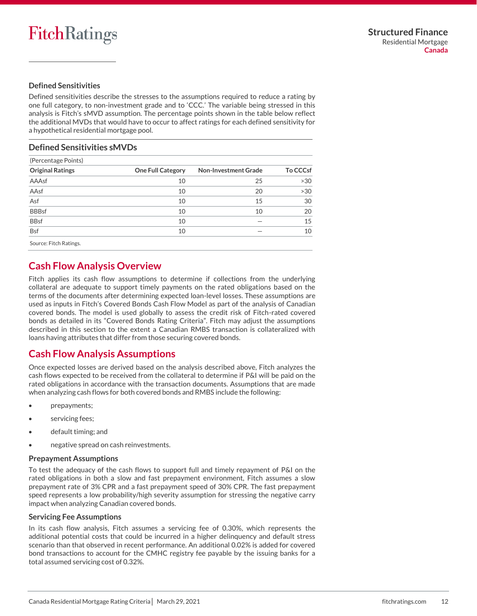## **Defined Sensitivities**

Defined sensitivities describe the stresses to the assumptions required to reduce a rating by one full category, to non-investment grade and to 'CCC.' The variable being stressed in this analysis is Fitch's sMVD assumption. The percentage points shown in the table below reflect the additional MVDs that would have to occur to affect ratings for each defined sensitivity for a hypothetical residential mortgage pool.

## **Defined Sensitivities sMVDs**

| (Percentage Points)     |                          |                             |                 |  |  |
|-------------------------|--------------------------|-----------------------------|-----------------|--|--|
| <b>Original Ratings</b> | <b>One Full Category</b> | <b>Non-Investment Grade</b> | <b>To CCCsf</b> |  |  |
| AAAsf                   | 10                       | 25                          | >30             |  |  |
| AAsf                    | 10                       | 20                          | >30             |  |  |
| Asf                     | 10                       | 15                          | 30              |  |  |
| <b>BBBsf</b>            | 10                       | 10                          | 20              |  |  |
| <b>BBsf</b>             | 10                       |                             | 15              |  |  |
| <b>Bsf</b>              | 10                       |                             | 10              |  |  |
| Source: Fitch Ratings.  |                          |                             |                 |  |  |

## <span id="page-11-0"></span>**Cash Flow Analysis Overview**

Fitch applies its cash flow assumptions to determine if collections from the underlying collateral are adequate to support timely payments on the rated obligations based on the terms of the documents after determining expected loan-level losses. These assumptions are used as inputs in Fitch's Covered Bonds Cash Flow Model as part of the analysis of Canadian covered bonds. The model is used globally to assess the credit risk of Fitch-rated covered bonds as detailed in its "Covered Bonds Rating Criteria". Fitch may adjust the assumptions described in this section to the extent a Canadian RMBS transaction is collateralized with loans having attributes that differ from those securing covered bonds.

## <span id="page-11-1"></span>**Cash Flow Analysis Assumptions**

Once expected losses are derived based on the analysis described above, Fitch analyzes the cash flows expected to be received from the collateral to determine if P&I will be paid on the rated obligations in accordance with the transaction documents. Assumptions that are made when analyzing cash flows for both covered bonds and RMBS include the following:

- prepayments;
- servicing fees;
- default timing; and
- negative spread on cash reinvestments.

## **Prepayment Assumptions**

To test the adequacy of the cash flows to support full and timely repayment of P&I on the rated obligations in both a slow and fast prepayment environment, Fitch assumes a slow prepayment rate of 3% CPR and a fast prepayment speed of 30% CPR. The fast prepayment speed represents a low probability/high severity assumption for stressing the negative carry impact when analyzing Canadian covered bonds.

## **Servicing Fee Assumptions**

In its cash flow analysis, Fitch assumes a servicing fee of 0.30%, which represents the additional potential costs that could be incurred in a higher delinquency and default stress scenario than that observed in recent performance. An additional 0.02% is added for covered bond transactions to account for the CMHC registry fee payable by the issuing banks for a total assumed servicing cost of 0.32%.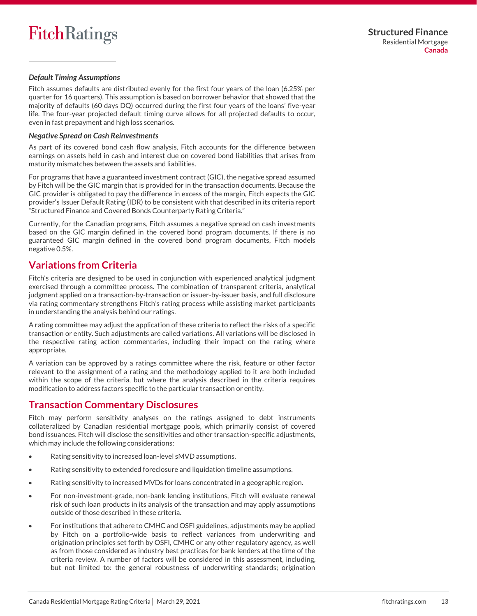## *Default Timing Assumptions*

Fitch assumes defaults are distributed evenly for the first four years of the loan (6.25% per quarter for 16 quarters). This assumption is based on borrower behavior that showed that the majority of defaults (60 days DQ) occurred during the first four years of the loans' five-year life. The four-year projected default timing curve allows for all projected defaults to occur, even in fast prepayment and high loss scenarios.

## *Negative Spread on Cash Reinvestments*

As part of its covered bond cash flow analysis, Fitch accounts for the difference between earnings on assets held in cash and interest due on covered bond liabilities that arises from maturity mismatches between the assets and liabilities.

For programs that have a guaranteed investment contract (GIC), the negative spread assumed by Fitch will be the GIC margin that is provided for in the transaction documents. Because the GIC provider is obligated to pay the difference in excess of the margin, Fitch expects the GIC provider's Issuer Default Rating (IDR) to be consistent with that described in its criteria report "Structured Finance and Covered Bonds Counterparty Rating Criteria."

Currently, for the Canadian programs, Fitch assumes a negative spread on cash investments based on the GIC margin defined in the covered bond program documents. If there is no guaranteed GIC margin defined in the covered bond program documents, Fitch models negative 0.5%.

## <span id="page-12-0"></span>**Variations from Criteria**

Fitch's criteria are designed to be used in conjunction with experienced analytical judgment exercised through a committee process. The combination of transparent criteria, analytical judgment applied on a transaction-by-transaction or issuer-by-issuer basis, and full disclosure via rating commentary strengthens Fitch's rating process while assisting market participants in understanding the analysis behind our ratings.

A rating committee may adjust the application of these criteria to reflect the risks of a specific transaction or entity. Such adjustments are called variations. All variations will be disclosed in the respective rating action commentaries, including their impact on the rating where appropriate.

A variation can be approved by a ratings committee where the risk, feature or other factor relevant to the assignment of a rating and the methodology applied to it are both included within the scope of the criteria, but where the analysis described in the criteria requires modification to address factors specific to the particular transaction or entity.

## <span id="page-12-1"></span>**Transaction Commentary Disclosures**

Fitch may perform sensitivity analyses on the ratings assigned to debt instruments collateralized by Canadian residential mortgage pools, which primarily consist of covered bond issuances. Fitch will disclose the sensitivities and other transaction-specific adjustments, which may include the following considerations:

- Rating sensitivity to increased loan-level sMVD assumptions.
- Rating sensitivity to extended foreclosure and liquidation timeline assumptions.
- Rating sensitivity to increased MVDs for loans concentrated in a geographic region.
- For non-investment-grade, non-bank lending institutions, Fitch will evaluate renewal risk of such loan products in its analysis of the transaction and may apply assumptions outside of those described in these criteria.
- For institutions that adhere to CMHC and OSFI guidelines, adjustments may be applied by Fitch on a portfolio-wide basis to reflect variances from underwriting and origination principles set forth by OSFI, CMHC or any other regulatory agency, as well as from those considered as industry best practices for bank lenders at the time of the criteria review. A number of factors will be considered in this assessment, including, but not limited to: the general robustness of underwriting standards; origination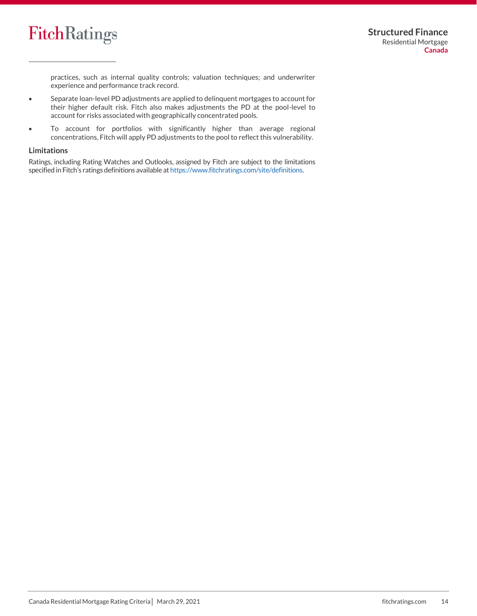

practices, such as internal quality controls; valuation techniques; and underwriter experience and performance track record.

- Separate loan-level PD adjustments are applied to delinquent mortgages to account for their higher default risk. Fitch also makes adjustments the PD at the pool-level to account for risks associated with geographically concentrated pools.
- To account for portfolios with significantly higher than average regional concentrations, Fitch will apply PD adjustments to the pool to reflect this vulnerability.

#### **Limitations**

Ratings, including Rating Watches and Outlooks, assigned by Fitch are subject to the limitations specified in Fitch's ratings definitions available at [https://www.fitchratings.com/site/definitions.](https://www.fitchratings.com/site/definitions)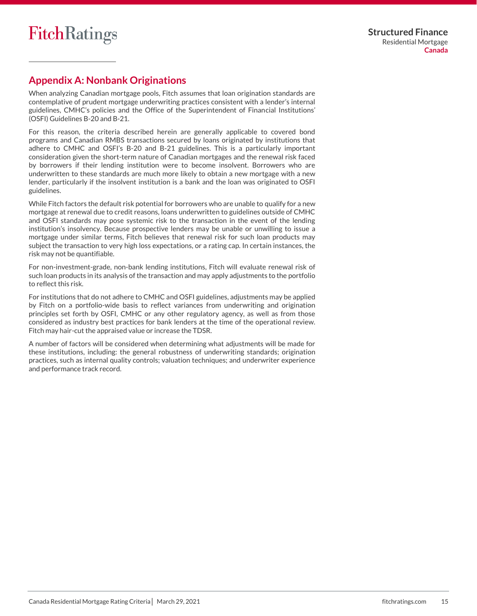## <span id="page-14-0"></span>**Appendix A: Nonbank Originations**

When analyzing Canadian mortgage pools, Fitch assumes that loan origination standards are contemplative of prudent mortgage underwriting practices consistent with a lender's internal guidelines, CMHC's policies and the Office of the Superintendent of Financial Institutions' (OSFI) Guidelines B-20 and B-21.

For this reason, the criteria described herein are generally applicable to covered bond programs and Canadian RMBS transactions secured by loans originated by institutions that adhere to CMHC and OSFI's B-20 and B-21 guidelines. This is a particularly important consideration given the short-term nature of Canadian mortgages and the renewal risk faced by borrowers if their lending institution were to become insolvent. Borrowers who are underwritten to these standards are much more likely to obtain a new mortgage with a new lender, particularly if the insolvent institution is a bank and the loan was originated to OSFI guidelines.

While Fitch factors the default risk potential for borrowers who are unable to qualify for a new mortgage at renewal due to credit reasons, loans underwritten to guidelines outside of CMHC and OSFI standards may pose systemic risk to the transaction in the event of the lending institution's insolvency. Because prospective lenders may be unable or unwilling to issue a mortgage under similar terms, Fitch believes that renewal risk for such loan products may subject the transaction to very high loss expectations, or a rating cap. In certain instances, the risk may not be quantifiable.

For non-investment-grade, non-bank lending institutions, Fitch will evaluate renewal risk of such loan products in its analysis of the transaction and may apply adjustments to the portfolio to reflect this risk.

For institutions that do not adhere to CMHC and OSFI guidelines, adjustments may be applied by Fitch on a portfolio-wide basis to reflect variances from underwriting and origination principles set forth by OSFI, CMHC or any other regulatory agency, as well as from those considered as industry best practices for bank lenders at the time of the operational review. Fitch may hair-cut the appraised value or increase the TDSR.

A number of factors will be considered when determining what adjustments will be made for these institutions, including: the general robustness of underwriting standards; origination practices, such as internal quality controls; valuation techniques; and underwriter experience and performance track record.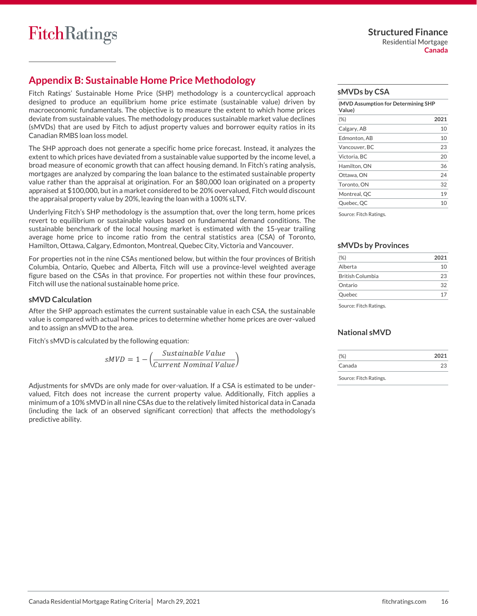## <span id="page-15-0"></span>**Appendix B: Sustainable Home Price Methodology**

Fitch Ratings' Sustainable Home Price (SHP) methodology is a countercyclical approach designed to produce an equilibrium home price estimate (sustainable value) driven by macroeconomic fundamentals. The objective is to measure the extent to which home prices deviate from sustainable values. The methodology produces sustainable market value declines (sMVDs) that are used by Fitch to adjust property values and borrower equity ratios in its Canadian RMBS loan loss model.

The SHP approach does not generate a specific home price forecast. Instead, it analyzes the extent to which prices have deviated from a sustainable value supported by the income level, a broad measure of economic growth that can affect housing demand. In Fitch's rating analysis, mortgages are analyzed by comparing the loan balance to the estimated sustainable property value rather than the appraisal at origination. For an \$80,000 loan originated on a property appraised at \$100,000, but in a market considered to be 20% overvalued, Fitch would discount the appraisal property value by 20%, leaving the loan with a 100% sLTV.

Underlying Fitch's SHP methodology is the assumption that, over the long term, home prices revert to equilibrium or sustainable values based on fundamental demand conditions. The sustainable benchmark of the local housing market is estimated with the 15-year trailing average home price to income ratio from the central statistics area (CSA) of Toronto, Hamilton, Ottawa, Calgary, Edmonton, Montreal, Quebec City, Victoria and Vancouver.

For properties not in the nine CSAs mentioned below, but within the four provinces of British Columbia, Ontario, Quebec and Alberta, Fitch will use a province-level weighted average figure based on the CSAs in that province. For properties not within these four provinces, Fitch will use the national sustainable home price.

#### **sMVD Calculation**

After the SHP approach estimates the current sustainable value in each CSA, the sustainable value is compared with actual home prices to determine whether home prices are over-valued and to assign an sMVD to the area.

Fitch's sMVD is calculated by the following equation:

$$
sMVD = 1 - \left(\frac{Sustainable Value}{Current Nominal Value}\right)
$$

Adjustments for sMVDs are only made for over-valuation. If a CSA is estimated to be undervalued, Fitch does not increase the current property value. Additionally, Fitch applies a minimum of a 10% sMVD in all nine CSAs due to the relatively limited historical data in Canada (including the lack of an observed significant correction) that affects the methodology's predictive ability.

#### **sMVDs by CSA**

| (MVD Assumption for Determining SHP<br>Value) |      |
|-----------------------------------------------|------|
| $(\%)$                                        | 2021 |
| Calgary, AB                                   | 10   |
| Edmonton. AB                                  | 10   |
| Vancouver, BC                                 | 23   |
| Victoria, BC                                  | 20   |
| Hamilton, ON                                  | 36   |
| Ottawa, ON                                    | 24   |
| Toronto, ON                                   | 32   |
| Montreal, QC                                  | 19   |
| Quebec, QC                                    | 10   |

Source: Fitch Ratings.

#### **sMVDs by Provinces**

| $(\%)$                  | 2021 |
|-------------------------|------|
| Alberta                 | 10   |
| <b>British Columbia</b> | 23   |
| Ontario                 | 32   |
| Quebec                  | 17   |
|                         |      |

Source: Fitch Ratings.

## **National sMVD**

| (% )   | 2021 |
|--------|------|
| Canada | 23   |
| ______ |      |

Source: Fitch Ratings.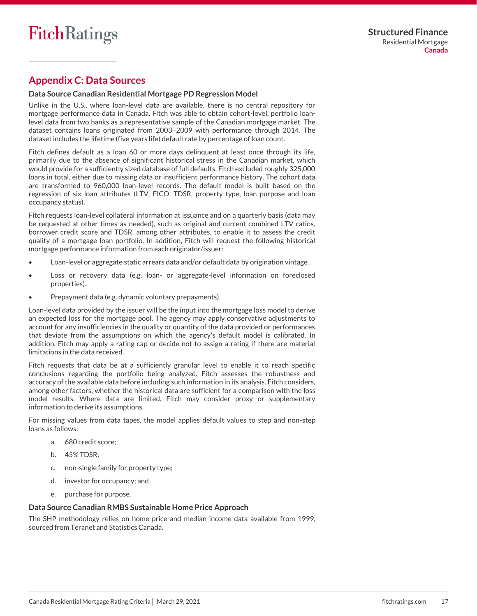## <span id="page-16-0"></span>**Appendix C: Data Sources**

## **Data Source Canadian Residential Mortgage PD Regression Model**

Unlike in the U.S., where loan-level data are available, there is no central repository for mortgage performance data in Canada. Fitch was able to obtain cohort-level, portfolio loanlevel data from two banks as a representative sample of the Canadian mortgage market. The dataset contains loans originated from 2003−2009 with performance through 2014. The dataset includes the lifetime (five years life) default rate by percentage of loan count.

Fitch defines default as a loan 60 or more days delinquent at least once through its life, primarily due to the absence of significant historical stress in the Canadian market, which would provide for a sufficiently sized database of full defaults. Fitch excluded roughly 325,000 loans in total, either due to missing data or insufficient performance history. The cohort data are transformed to 960,000 loan-level records. The default model is built based on the regression of six loan attributes (LTV, FICO, TDSR, property type, loan purpose and loan occupancy status).

Fitch requests loan-level collateral information at issuance and on a quarterly basis (data may be requested at other times as needed), such as original and current combined LTV ratios, borrower credit score and TDSR, among other attributes, to enable it to assess the credit quality of a mortgage loan portfolio. In addition, Fitch will request the following historical mortgage performance information from each originator/issuer:

- Loan-level or aggregate static arrears data and/or default data by origination vintage.
- Loss or recovery data (e.g. loan- or aggregate-level information on foreclosed properties).
- Prepayment data (e.g. dynamic voluntary prepayments).

Loan-level data provided by the issuer will be the input into the mortgage loss model to derive an expected loss for the mortgage pool. The agency may apply conservative adjustments to account for any insufficiencies in the quality or quantity of the data provided or performances that deviate from the assumptions on which the agency's default model is calibrated. In addition, Fitch may apply a rating cap or decide not to assign a rating if there are material limitations in the data received.

Fitch requests that data be at a sufficiently granular level to enable it to reach specific conclusions regarding the portfolio being analyzed. Fitch assesses the robustness and accuracy of the available data before including such information in its analysis. Fitch considers, among other factors, whether the historical data are sufficient for a comparison with the loss model results. Where data are limited, Fitch may consider proxy or supplementary information to derive its assumptions.

For missing values from data tapes, the model applies default values to step and non-step loans as follows:

- a. 680 credit score;
- b. 45% TDSR;
- c. non-single family for property type;
- d. investor for occupancy; and
- e. purchase for purpose.

## **Data Source Canadian RMBS Sustainable Home Price Approach**

The SHP methodology relies on home price and median income data available from 1999, sourced from Teranet and Statistics Canada.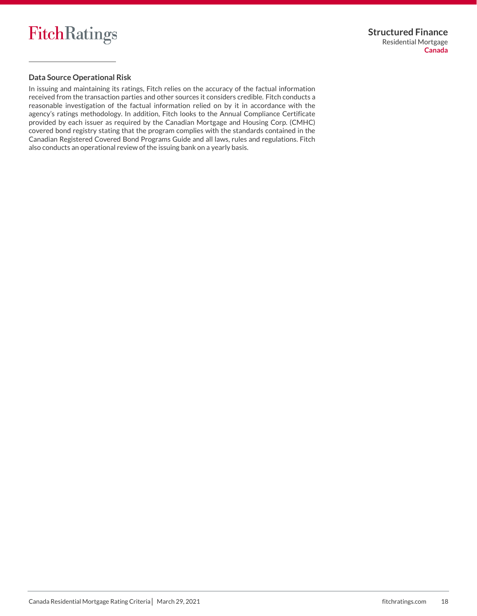

## **Data Source Operational Risk**

In issuing and maintaining its ratings, Fitch relies on the accuracy of the factual information received from the transaction parties and other sources it considers credible. Fitch conducts a reasonable investigation of the factual information relied on by it in accordance with the agency's ratings methodology. In addition, Fitch looks to the Annual Compliance Certificate provided by each issuer as required by the Canadian Mortgage and Housing Corp. (CMHC) covered bond registry stating that the program complies with the standards contained in the Canadian Registered Covered Bond Programs Guide and all laws, rules and regulations. Fitch also conducts an operational review of the issuing bank on a yearly basis.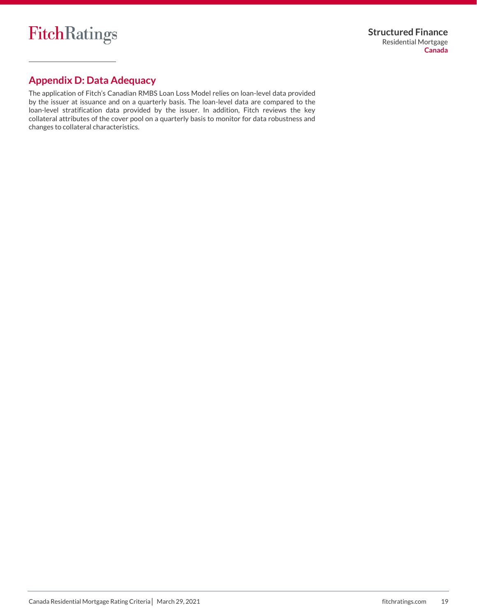## <span id="page-18-0"></span>**Appendix D: Data Adequacy**

The application of Fitch's Canadian RMBS Loan Loss Model relies on loan-level data provided by the issuer at issuance and on a quarterly basis. The loan-level data are compared to the loan-level stratification data provided by the issuer. In addition, Fitch reviews the key collateral attributes of the cover pool on a quarterly basis to monitor for data robustness and changes to collateral characteristics.